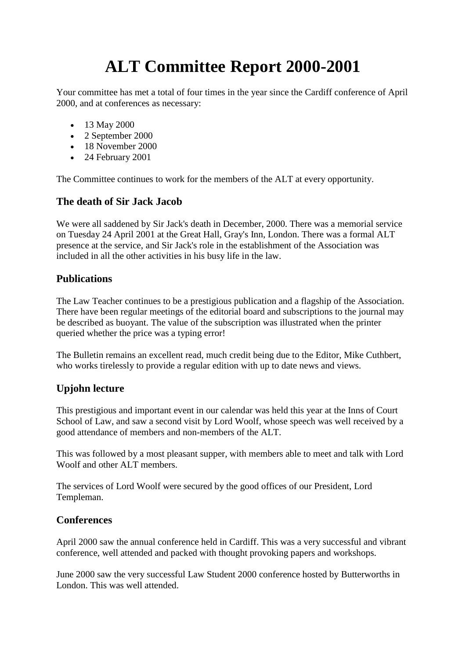# **ALT Committee Report 2000-2001**

Your committee has met a total of four times in the year since the Cardiff conference of April 2000, and at conferences as necessary:

- 13 May 2000
- 2 September 2000
- 18 November 2000
- 24 February 2001

The Committee continues to work for the members of the ALT at every opportunity.

#### **The death of Sir Jack Jacob**

We were all saddened by Sir Jack's death in December, 2000. There was a memorial service on Tuesday 24 April 2001 at the Great Hall, Gray's Inn, London. There was a formal ALT presence at the service, and Sir Jack's role in the establishment of the Association was included in all the other activities in his busy life in the law.

#### **Publications**

The Law Teacher continues to be a prestigious publication and a flagship of the Association. There have been regular meetings of the editorial board and subscriptions to the journal may be described as buoyant. The value of the subscription was illustrated when the printer queried whether the price was a typing error!

The Bulletin remains an excellent read, much credit being due to the Editor, Mike Cuthbert, who works tirelessly to provide a regular edition with up to date news and views.

## **Upjohn lecture**

This prestigious and important event in our calendar was held this year at the Inns of Court School of Law, and saw a second visit by Lord Woolf, whose speech was well received by a good attendance of members and non-members of the ALT.

This was followed by a most pleasant supper, with members able to meet and talk with Lord Woolf and other ALT members.

The services of Lord Woolf were secured by the good offices of our President, Lord Templeman.

## **Conferences**

April 2000 saw the annual conference held in Cardiff. This was a very successful and vibrant conference, well attended and packed with thought provoking papers and workshops.

June 2000 saw the very successful Law Student 2000 conference hosted by Butterworths in London. This was well attended.